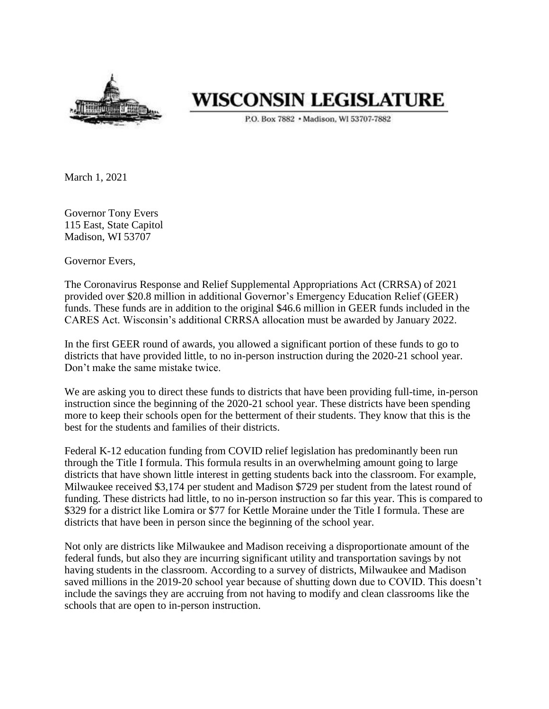

## **WISCONSIN LEGISLATURE**

P.O. Box 7882 . Madison, WI 53707-7882

March 1, 2021

Governor Tony Evers 115 East, State Capitol Madison, WI 53707

Governor Evers,

The Coronavirus Response and Relief Supplemental Appropriations Act (CRRSA) of 2021 provided over \$20.8 million in additional Governor's Emergency Education Relief (GEER) funds. These funds are in addition to the original \$46.6 million in GEER funds included in the CARES Act. Wisconsin's additional CRRSA allocation must be awarded by January 2022.

In the first GEER round of awards, you allowed a significant portion of these funds to go to districts that have provided little, to no in-person instruction during the 2020-21 school year. Don't make the same mistake twice.

We are asking you to direct these funds to districts that have been providing full-time, in-person instruction since the beginning of the 2020-21 school year. These districts have been spending more to keep their schools open for the betterment of their students. They know that this is the best for the students and families of their districts.

Federal K-12 education funding from COVID relief legislation has predominantly been run through the Title I formula. This formula results in an overwhelming amount going to large districts that have shown little interest in getting students back into the classroom. For example, Milwaukee received \$3,174 per student and Madison \$729 per student from the latest round of funding. These districts had little, to no in-person instruction so far this year. This is compared to \$329 for a district like Lomira or \$77 for Kettle Moraine under the Title I formula. These are districts that have been in person since the beginning of the school year.

Not only are districts like Milwaukee and Madison receiving a disproportionate amount of the federal funds, but also they are incurring significant utility and transportation savings by not having students in the classroom. According to a survey of districts, Milwaukee and Madison saved millions in the 2019-20 school year because of shutting down due to COVID. This doesn't include the savings they are accruing from not having to modify and clean classrooms like the schools that are open to in-person instruction.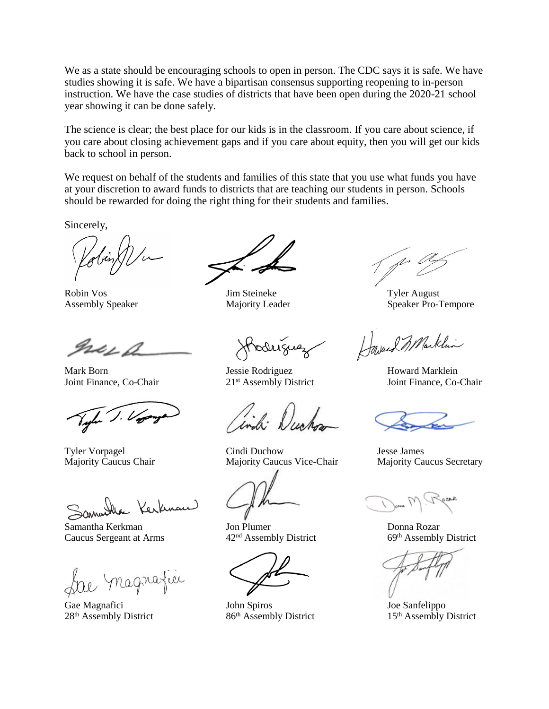We as a state should be encouraging schools to open in person. The CDC says it is safe. We have studies showing it is safe. We have a bipartisan consensus supporting reopening to in-person instruction. We have the case studies of districts that have been open during the 2020-21 school year showing it can be done safely.

The science is clear; the best place for our kids is in the classroom. If you care about science, if you care about closing achievement gaps and if you care about equity, then you will get our kids back to school in person.

We request on behalf of the students and families of this state that you use what funds you have at your discretion to award funds to districts that are teaching our students in person. Schools should be rewarded for doing the right thing for their students and families.

Sincerely,

Robin Vos Jim Steineke Tyler August

Ise f

tha Kerknam

Samantha Kerkman Jon Plumer Donna Rozar<br>
Caucus Sergeant at Arms 42<sup>nd</sup> Assembly District 69<sup>th</sup> Assembly District Caucus Sergeant at Arms

le magnafici

odríguez

Mark Born Jessie Rodriguez Howard Marklein

ch: Duc

Tyler Vorpagel Cindi Duchow Jesse James Majority Caucus Chair Majority Caucus Vice-Chair Majority Caucus Secretary

Gae Magnafici John Spiros Joe Sanfelippo 28<sup>th</sup> Assembly District 86<sup>th</sup> Assembly District 15<sup>th</sup> Assembly District

Assembly Speaker **Majority Leader** Speaker Pro-Tempore

Howard 3 Marklin

Joint Finance, Co-Chair 21st Assembly District Joint Finance, Co-Chair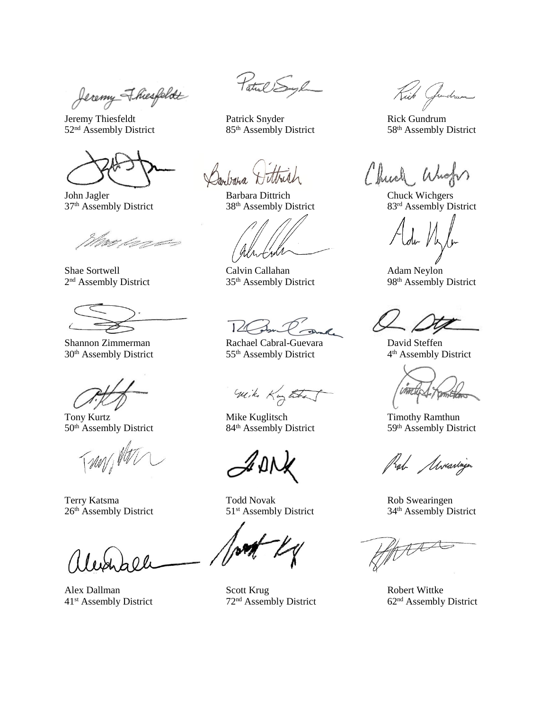Jeremy Fhiesfeldt

Jeremy Thiesfeldt Patrick Snyder Rick Gundrum 52<sup>nd</sup> Assembly District 85<sup>th</sup> Assembly District 58<sup>th</sup> Assembly District

<u>MAR LANDADES SOM SERVICE SOM SERVICE SOM SERVICE SOM SERVICE SOM SERVICE SOM SERVICE SOM SERVICE SOM SERVICE S</u>

2<sup>nd</sup> Assembly District

26<sup>th</sup> Assembly District 51<sup>st</sup> Assembly District 34<sup>th</sup> Assembly District

Patul Sugh

Darbara

John Jagler Barbara Dittrich Chuck Wichgers

Shae Sortwell Calvin Callahan Adam Neylon<br>
2<sup>nd</sup> Assembly District 98<sup>th</sup> Assembly District 98<sup>th</sup> Assembly District 35<sup>th</sup> Assembly District

Shannon Zimmerman Rachael Cabral-Guevara David Steffen 30<sup>th</sup> Assembly District 55<sup>th</sup> Assembly District

with King the

Tony Kurtz<br>
50<sup>th</sup> Assembly District<br>
50<sup>th</sup> Assembly District<br>
84<sup>th</sup> Assembly District<br>
59<sup>th</sup> Assembly District 84<sup>th</sup> Assembly District

Terry Katsma Todd Novak Rob Swearingen

Alex Dallman Scott Krug Robert Wittke<br>
41<sup>st</sup> Assembly District 72<sup>nd</sup> Assembly District 62<sup>nd</sup> Assembly District 72<sup>nd</sup> Assembly District

Kick Jundrum

Chuch, W

37<sup>th</sup> Assembly District 38<sup>th</sup> Assembly District 83<sup>rd</sup> Assembly District

4<sup>th</sup> Assembly District

Kab Mvaringer

PANA